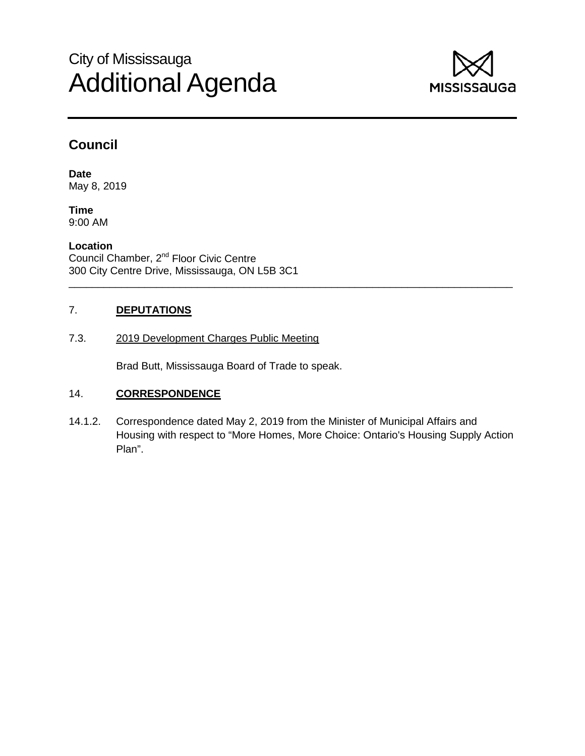# City of Mississauga Additional Agenda



## **Council**

**Date** May 8, 2019

**Time** 9:00 AM

**Location** Council Chamber, 2<sup>nd</sup> Floor Civic Centre 300 City Centre Drive, Mississauga, ON L5B 3C1

## 7. **DEPUTATIONS**

## 7.3. 2019 Development Charges Public Meeting

Brad Butt, Mississauga Board of Trade to speak.

## 14. **CORRESPONDENCE**

14.1.2. Correspondence dated May 2, 2019 from the Minister of Municipal Affairs and Housing with respect to "More Homes, More Choice: Ontario's Housing Supply Action Plan".

\_\_\_\_\_\_\_\_\_\_\_\_\_\_\_\_\_\_\_\_\_\_\_\_\_\_\_\_\_\_\_\_\_\_\_\_\_\_\_\_\_\_\_\_\_\_\_\_\_\_\_\_\_\_\_\_\_\_\_\_\_\_\_\_\_\_\_\_\_\_\_\_\_\_\_\_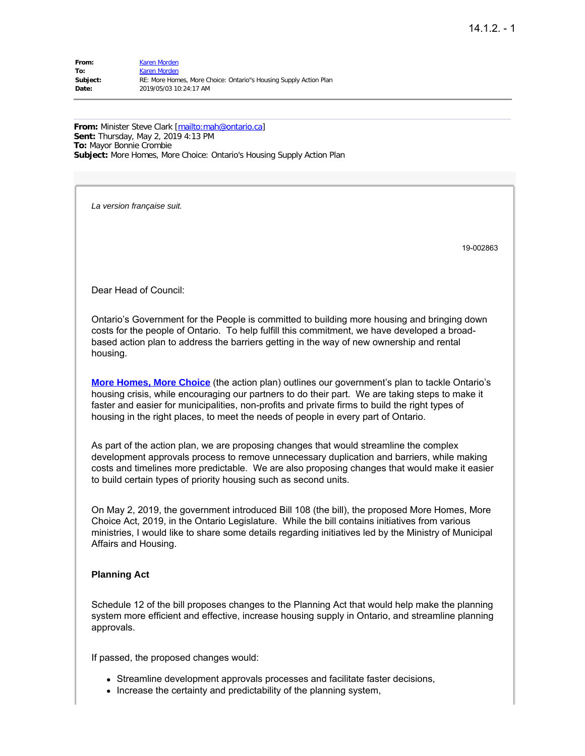| From:    | Karen Morden                                                      |
|----------|-------------------------------------------------------------------|
| To:      | Karen Morden                                                      |
| Subject: | RE: More Homes, More Choice: Ontario"s Housing Supply Action Plan |
| Date:    | 2019/05/03 10:24:17 AM                                            |

From: Minister Steve Clark [\[mailto:mah@ontario.ca](mailto:mah@ontario.ca)] **Sent:** Thursday, May 2, 2019 4:13 PM **To:** Mayor Bonnie Crombie **Subject:** More Homes, More Choice: Ontario's Housing Supply Action Plan

*La version française suit.*

19-002863

Dear Head of Council:

Ontario's Government for the People is committed to building more housing and bringing down costs for the people of Ontario. To help fulfill this commitment, we have developed a broadbased action plan to address the barriers getting in the way of new ownership and rental housing.

**[More Homes, More Choice](http://trk.mmail.lst.fin.gov.on.ca/trk/click?ref=zr9uf3m5h_2-5b50x3705cx0552&)** (the action plan) outlines our government's plan to tackle Ontario's housing crisis, while encouraging our partners to do their part. We are taking steps to make it faster and easier for municipalities, non-profits and private firms to build the right types of housing in the right places, to meet the needs of people in every part of Ontario.

As part of the action plan, we are proposing changes that would streamline the complex development approvals process to remove unnecessary duplication and barriers, while making costs and timelines more predictable. We are also proposing changes that would make it easier to build certain types of priority housing such as second units.

On May 2, 2019, the government introduced Bill 108 (the bill), the proposed More Homes, More Choice Act, 2019, in the Ontario Legislature. While the bill contains initiatives from various ministries, I would like to share some details regarding initiatives led by the Ministry of Municipal Affairs and Housing.

#### **Planning Act**

Schedule 12 of the bill proposes changes to the Planning Act that would help make the planning system more efficient and effective, increase housing supply in Ontario, and streamline planning approvals.

If passed, the proposed changes would:

- Streamline development approvals processes and facilitate faster decisions,
- Increase the certainty and predictability of the planning system,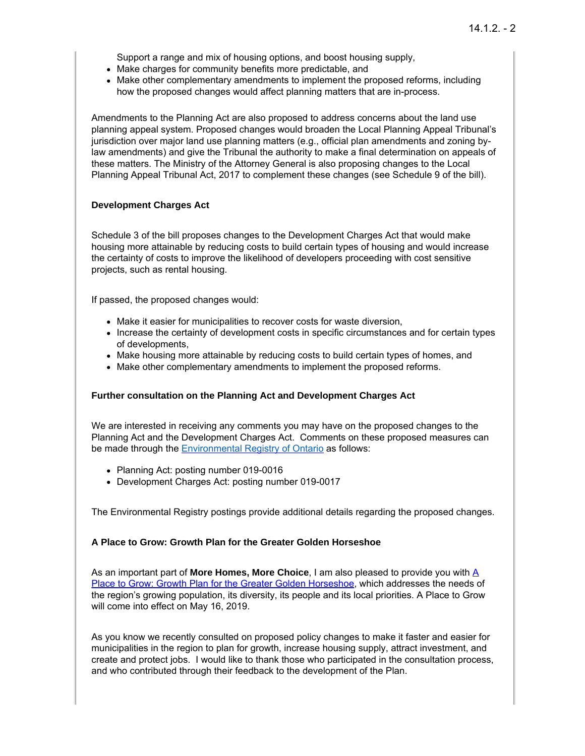Support a range and mix of housing options, and boost housing supply,

- Make charges for community benefits more predictable, and
- Make other complementary amendments to implement the proposed reforms, including how the proposed changes would affect planning matters that are in-process.

Amendments to the Planning Act are also proposed to address concerns about the land use planning appeal system. Proposed changes would broaden the Local Planning Appeal Tribunal's jurisdiction over major land use planning matters (e.g., official plan amendments and zoning bylaw amendments) and give the Tribunal the authority to make a final determination on appeals of these matters. The Ministry of the Attorney General is also proposing changes to the Local Planning Appeal Tribunal Act, 2017 to complement these changes (see Schedule 9 of the bill).

#### **Development Charges Act**

Schedule 3 of the bill proposes changes to the Development Charges Act that would make housing more attainable by reducing costs to build certain types of housing and would increase the certainty of costs to improve the likelihood of developers proceeding with cost sensitive projects, such as rental housing.

If passed, the proposed changes would:

- Make it easier for municipalities to recover costs for waste diversion,
- Increase the certainty of development costs in specific circumstances and for certain types of developments,
- Make housing more attainable by reducing costs to build certain types of homes, and
- Make other complementary amendments to implement the proposed reforms.

#### **Further consultation on the Planning Act and Development Charges Act**

We are interested in receiving any comments you may have on the proposed changes to the Planning Act and the Development Charges Act. Comments on these proposed measures can be made through the [Environmental](http://trk.mmail.lst.fin.gov.on.ca/trk/click?ref=zr9uf3m5h_2-5b50x3705dx0552&) Registry of Ontario as follows:

- Planning Act: posting number 019-0016
- Development Charges Act: posting number 019-0017

The Environmental Registry postings provide additional details regarding the proposed changes.

#### **A Place to Grow: Growth Plan for the Greater Golden Horseshoe**

[A](http://trk.mmail.lst.fin.gov.on.ca/trk/click?ref=zr9uf3m5h_2-5b50x37043x0552&)s an important part of **More Homes, More Choice**, I am also pleased to provide you with A Place to Grow: Growth Plan for the Greater Golden [Horseshoe,](http://trk.mmail.lst.fin.gov.on.ca/trk/click?ref=zr9uf3m5h_2-5b50x37043x0552&) which addresses the needs of the region's growing population, its diversity, its people and its local priorities. A Place to Grow will come into effect on May 16, 2019.

As you know we recently consulted on proposed policy changes to make it faster and easier for municipalities in the region to plan for growth, increase housing supply, attract investment, and create and protect jobs. I would like to thank those who participated in the consultation process, and who contributed through their feedback to the development of the Plan.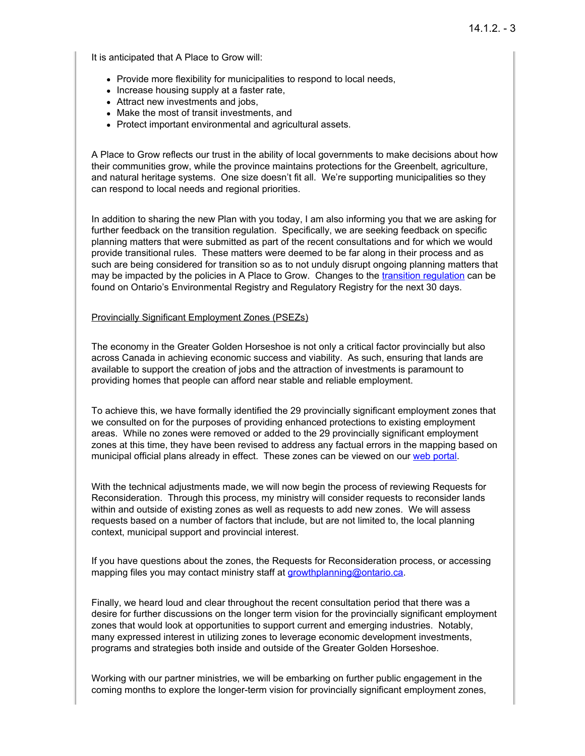It is anticipated that A Place to Grow will:

- Provide more flexibility for municipalities to respond to local needs,
- Increase housing supply at a faster rate,
- Attract new investments and jobs,
- Make the most of transit investments, and
- Protect important environmental and agricultural assets.

A Place to Grow reflects our trust in the ability of local governments to make decisions about how their communities grow, while the province maintains protections for the Greenbelt, agriculture, and natural heritage systems. One size doesn't fit all. We're supporting municipalities so they can respond to local needs and regional priorities.

In addition to sharing the new Plan with you today, I am also informing you that we are asking for further feedback on the transition regulation. Specifically, we are seeking feedback on specific planning matters that were submitted as part of the recent consultations and for which we would provide transitional rules. These matters were deemed to be far along in their process and as such are being considered for transition so as to not unduly disrupt ongoing planning matters that may be impacted by the policies in A Place to Grow. Changes to the transition [regulation](http://trk.mmail.lst.fin.gov.on.ca/trk/click?ref=zr9uf3m5h_2-5b50x3705ex0552&) can be found on Ontario's Environmental Registry and Regulatory Registry for the next 30 days.

#### Provincially Significant Employment Zones (PSEZs)

The economy in the Greater Golden Horseshoe is not only a critical factor provincially but also across Canada in achieving economic success and viability. As such, ensuring that lands are available to support the creation of jobs and the attraction of investments is paramount to providing homes that people can afford near stable and reliable employment.

To achieve this, we have formally identified the 29 provincially significant employment zones that we consulted on for the purposes of providing enhanced protections to existing employment areas. While no zones were removed or added to the 29 provincially significant employment zones at this time, they have been revised to address any factual errors in the mapping based on municipal official plans already in effect. These zones can be viewed on our web [portal](http://trk.mmail.lst.fin.gov.on.ca/trk/click?ref=zr9uf3m5h_2-5b50x3705fx0552&).

With the technical adjustments made, we will now begin the process of reviewing Requests for Reconsideration. Through this process, my ministry will consider requests to reconsider lands within and outside of existing zones as well as requests to add new zones. We will assess requests based on a number of factors that include, but are not limited to, the local planning context, municipal support and provincial interest.

If you have questions about the zones, the Requests for Reconsideration process, or accessing mapping files you may contact ministry staff at [growthplanning@ontario.ca](mailto:growthplanning@ontario.ca).

Finally, we heard loud and clear throughout the recent consultation period that there was a desire for further discussions on the longer term vision for the provincially significant employment zones that would look at opportunities to support current and emerging industries. Notably, many expressed interest in utilizing zones to leverage economic development investments, programs and strategies both inside and outside of the Greater Golden Horseshoe.

Working with our partner ministries, we will be embarking on further public engagement in the coming months to explore the longer-term vision for provincially significant employment zones,